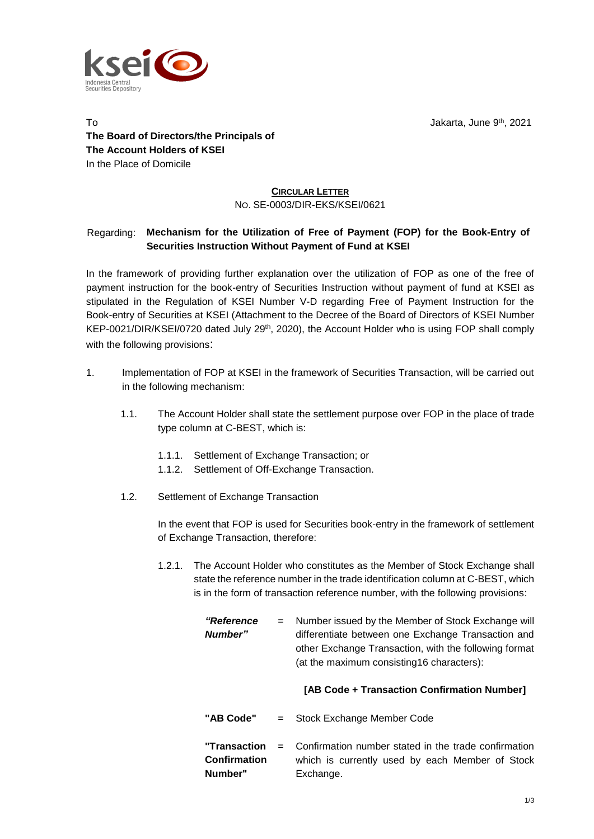

To Jakarta, June 9 th , 2021 **The Board of Directors/the Principals of The Account Holders of KSEI** In the Place of Domicile

## **CIRCULAR LETTER** NO. SE-0003/DIR-EKS/KSEI/0621

## Regarding: **Mechanism for the Utilization of Free of Payment (FOP) for the Book-Entry of Securities Instruction Without Payment of Fund at KSEI**

In the framework of providing further explanation over the utilization of FOP as one of the free of payment instruction for the book-entry of Securities Instruction without payment of fund at KSEI as stipulated in the Regulation of KSEI Number V-D regarding Free of Payment Instruction for the Book-entry of Securities at KSEI (Attachment to the Decree of the Board of Directors of KSEI Number KEP-0021/DIR/KSEI/0720 dated July 29<sup>th</sup>, 2020), the Account Holder who is using FOP shall comply with the following provisions:

- 1. Implementation of FOP at KSEI in the framework of Securities Transaction, will be carried out in the following mechanism:
	- 1.1. The Account Holder shall state the settlement purpose over FOP in the place of trade type column at C-BEST, which is:
		- 1.1.1. Settlement of Exchange Transaction; or
		- 1.1.2. Settlement of Off-Exchange Transaction.
	- 1.2. Settlement of Exchange Transaction

In the event that FOP is used for Securities book-entry in the framework of settlement of Exchange Transaction, therefore:

1.2.1. The Account Holder who constitutes as the Member of Stock Exchange shall state the reference number in the trade identification column at C-BEST, which is in the form of transaction reference number, with the following provisions:

> *"Reference Number"* = Number issued by the Member of Stock Exchange will differentiate between one Exchange Transaction and other Exchange Transaction, with the following format (at the maximum consisting16 characters):

## **[AB Code + Transaction Confirmation Number]**

- **"AB Code"** = Stock Exchange Member Code
- **"Transaction Confirmation Number"** Confirmation number stated in the trade confirmation which is currently used by each Member of Stock Exchange.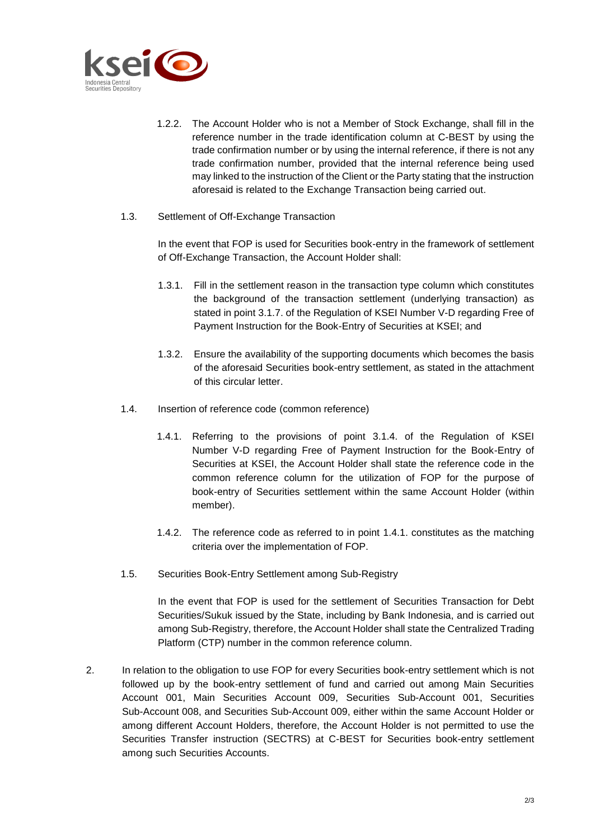

- 1.2.2. The Account Holder who is not a Member of Stock Exchange, shall fill in the reference number in the trade identification column at C-BEST by using the trade confirmation number or by using the internal reference, if there is not any trade confirmation number, provided that the internal reference being used may linked to the instruction of the Client or the Party stating that the instruction aforesaid is related to the Exchange Transaction being carried out.
- 1.3. Settlement of Off-Exchange Transaction

In the event that FOP is used for Securities book-entry in the framework of settlement of Off-Exchange Transaction, the Account Holder shall:

- 1.3.1. Fill in the settlement reason in the transaction type column which constitutes the background of the transaction settlement (underlying transaction) as stated in point 3.1.7. of the Regulation of KSEI Number V-D regarding Free of Payment Instruction for the Book-Entry of Securities at KSEI; and
- 1.3.2. Ensure the availability of the supporting documents which becomes the basis of the aforesaid Securities book-entry settlement, as stated in the attachment of this circular letter.
- 1.4. Insertion of reference code (common reference)
	- 1.4.1. Referring to the provisions of point 3.1.4. of the Regulation of KSEI Number V-D regarding Free of Payment Instruction for the Book-Entry of Securities at KSEI, the Account Holder shall state the reference code in the common reference column for the utilization of FOP for the purpose of book-entry of Securities settlement within the same Account Holder (within member).
	- 1.4.2. The reference code as referred to in point 1.4.1. constitutes as the matching criteria over the implementation of FOP.
- 1.5. Securities Book-Entry Settlement among Sub-Registry

In the event that FOP is used for the settlement of Securities Transaction for Debt Securities/Sukuk issued by the State, including by Bank Indonesia, and is carried out among Sub-Registry, therefore, the Account Holder shall state the Centralized Trading Platform (CTP) number in the common reference column.

2. In relation to the obligation to use FOP for every Securities book-entry settlement which is not followed up by the book-entry settlement of fund and carried out among Main Securities Account 001, Main Securities Account 009, Securities Sub-Account 001, Securities Sub-Account 008, and Securities Sub-Account 009, either within the same Account Holder or among different Account Holders, therefore, the Account Holder is not permitted to use the Securities Transfer instruction (SECTRS) at C-BEST for Securities book-entry settlement among such Securities Accounts.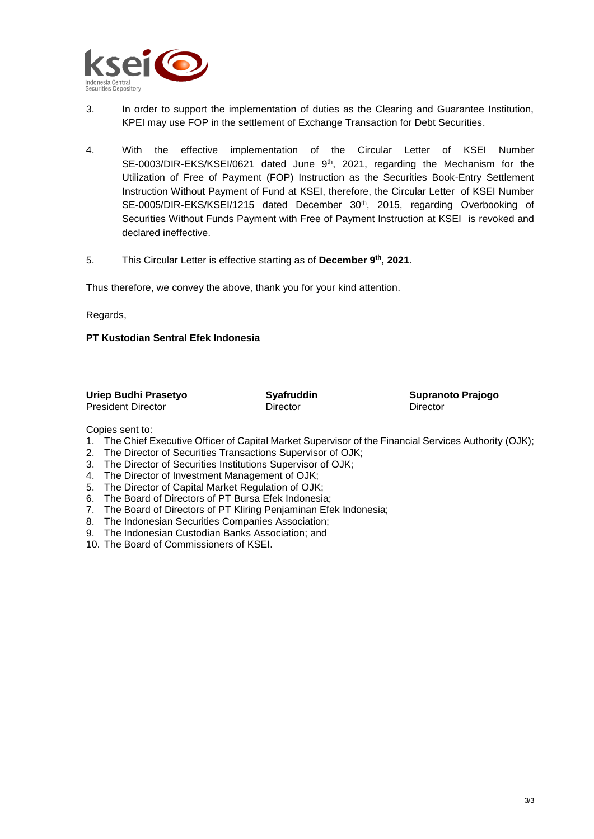

- 3. In order to support the implementation of duties as the Clearing and Guarantee Institution, KPEI may use FOP in the settlement of Exchange Transaction for Debt Securities.
- 4. With the effective implementation of the Circular Letter of KSEI Number SE-0003/DIR-EKS/KSEI/0621 dated June 9<sup>th</sup>, 2021, regarding the Mechanism for the Utilization of Free of Payment (FOP) Instruction as the Securities Book-Entry Settlement Instruction Without Payment of Fund at KSEI, therefore, the Circular Letter of KSEI Number SE-0005/DIR-EKS/KSEI/1215 dated December 30<sup>th</sup>, 2015, regarding Overbooking of Securities Without Funds Payment with Free of Payment Instruction at KSEI is revoked and declared ineffective.
- 5. This Circular Letter is effective starting as of **December 9th , 2021**.

Thus therefore, we convey the above, thank you for your kind attention.

Regards,

## **PT Kustodian Sentral Efek Indonesia**

| Uriep Budhi Prasetyo      | <b>Syafruddin</b> | <b>Supranoto Prajogo</b> |
|---------------------------|-------------------|--------------------------|
| <b>President Director</b> | Director          | Director                 |

Copies sent to:

- 1. The Chief Executive Officer of Capital Market Supervisor of the Financial Services Authority (OJK);
- 2. The Director of Securities Transactions Supervisor of OJK;
- 3. The Director of Securities Institutions Supervisor of OJK;
- 4. The Director of Investment Management of OJK;
- 5. The Director of Capital Market Regulation of OJK;
- 6. The Board of Directors of PT Bursa Efek Indonesia;
- 7. The Board of Directors of PT Kliring Penjaminan Efek Indonesia;
- 8. The Indonesian Securities Companies Association;
- 9. The Indonesian Custodian Banks Association; and
- 10. The Board of Commissioners of KSEI.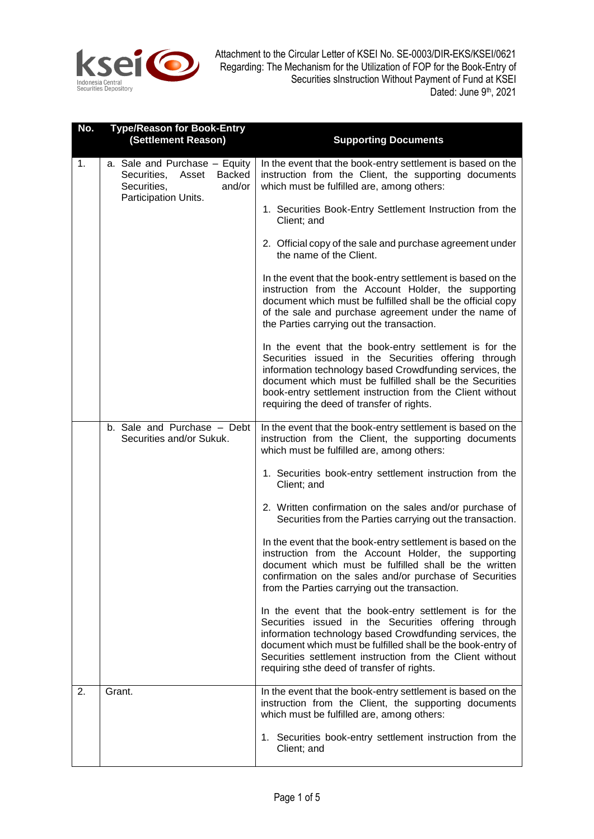

| No. | <b>Type/Reason for Book-Entry</b><br>(Settlement Reason)                                                                | <b>Supporting Documents</b>                                                                                                                                                                                                                                                                                                                         |
|-----|-------------------------------------------------------------------------------------------------------------------------|-----------------------------------------------------------------------------------------------------------------------------------------------------------------------------------------------------------------------------------------------------------------------------------------------------------------------------------------------------|
| 1.  | a. Sale and Purchase - Equity<br><b>Backed</b><br>Securities,<br>Asset<br>Securities,<br>and/or<br>Participation Units. | In the event that the book-entry settlement is based on the<br>instruction from the Client, the supporting documents<br>which must be fulfilled are, among others:                                                                                                                                                                                  |
|     |                                                                                                                         | 1. Securities Book-Entry Settlement Instruction from the<br>Client; and                                                                                                                                                                                                                                                                             |
|     |                                                                                                                         | 2. Official copy of the sale and purchase agreement under<br>the name of the Client.                                                                                                                                                                                                                                                                |
|     |                                                                                                                         | In the event that the book-entry settlement is based on the<br>instruction from the Account Holder, the supporting<br>document which must be fulfilled shall be the official copy<br>of the sale and purchase agreement under the name of<br>the Parties carrying out the transaction.                                                              |
|     |                                                                                                                         | In the event that the book-entry settlement is for the<br>Securities issued in the Securities offering through<br>information technology based Crowdfunding services, the<br>document which must be fulfilled shall be the Securities<br>book-entry settlement instruction from the Client without<br>requiring the deed of transfer of rights.     |
|     | b. Sale and Purchase - Debt<br>Securities and/or Sukuk.                                                                 | In the event that the book-entry settlement is based on the<br>instruction from the Client, the supporting documents<br>which must be fulfilled are, among others:                                                                                                                                                                                  |
|     |                                                                                                                         | 1. Securities book-entry settlement instruction from the<br>Client; and                                                                                                                                                                                                                                                                             |
|     |                                                                                                                         | 2. Written confirmation on the sales and/or purchase of<br>Securities from the Parties carrying out the transaction.                                                                                                                                                                                                                                |
|     |                                                                                                                         | In the event that the book-entry settlement is based on the<br>instruction from the Account Holder, the supporting<br>document which must be fulfilled shall be the written<br>confirmation on the sales and/or purchase of Securities<br>from the Parties carrying out the transaction.                                                            |
|     |                                                                                                                         | In the event that the book-entry settlement is for the<br>Securities issued in the Securities offering through<br>information technology based Crowdfunding services, the<br>document which must be fulfilled shall be the book-entry of<br>Securities settlement instruction from the Client without<br>requiring sthe deed of transfer of rights. |
| 2.  | Grant.                                                                                                                  | In the event that the book-entry settlement is based on the<br>instruction from the Client, the supporting documents<br>which must be fulfilled are, among others:                                                                                                                                                                                  |
|     |                                                                                                                         | 1. Securities book-entry settlement instruction from the<br>Client; and                                                                                                                                                                                                                                                                             |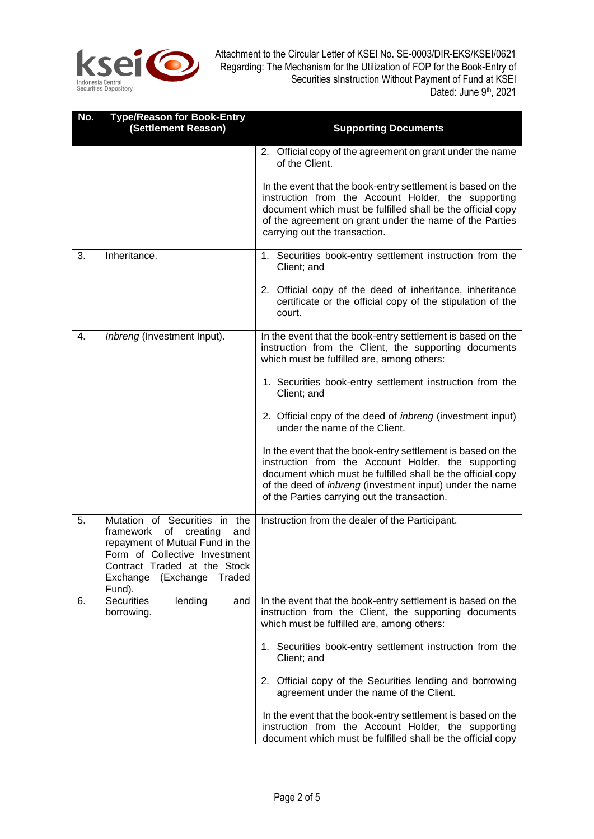

| No.              | <b>Type/Reason for Book-Entry</b><br>(Settlement Reason)                                                                                                                                                             | <b>Supporting Documents</b>                                                                                                                                                                                                                                                                   |
|------------------|----------------------------------------------------------------------------------------------------------------------------------------------------------------------------------------------------------------------|-----------------------------------------------------------------------------------------------------------------------------------------------------------------------------------------------------------------------------------------------------------------------------------------------|
|                  |                                                                                                                                                                                                                      | 2. Official copy of the agreement on grant under the name<br>of the Client.                                                                                                                                                                                                                   |
|                  |                                                                                                                                                                                                                      | In the event that the book-entry settlement is based on the<br>instruction from the Account Holder, the supporting<br>document which must be fulfilled shall be the official copy<br>of the agreement on grant under the name of the Parties<br>carrying out the transaction.                 |
| 3.               | Inheritance.                                                                                                                                                                                                         | 1. Securities book-entry settlement instruction from the<br>Client; and                                                                                                                                                                                                                       |
|                  |                                                                                                                                                                                                                      | 2. Official copy of the deed of inheritance, inheritance<br>certificate or the official copy of the stipulation of the<br>court.                                                                                                                                                              |
| $\overline{4}$ . | Inbreng (Investment Input).                                                                                                                                                                                          | In the event that the book-entry settlement is based on the<br>instruction from the Client, the supporting documents<br>which must be fulfilled are, among others:                                                                                                                            |
|                  |                                                                                                                                                                                                                      | 1. Securities book-entry settlement instruction from the<br>Client; and                                                                                                                                                                                                                       |
|                  |                                                                                                                                                                                                                      | 2. Official copy of the deed of <i>inbreng</i> (investment input)<br>under the name of the Client.                                                                                                                                                                                            |
|                  |                                                                                                                                                                                                                      | In the event that the book-entry settlement is based on the<br>instruction from the Account Holder, the supporting<br>document which must be fulfilled shall be the official copy<br>of the deed of inbreng (investment input) under the name<br>of the Parties carrying out the transaction. |
| 5.               | Mutation of Securities in the<br>framework<br>of<br>creating<br>and<br>repayment of Mutual Fund in the<br>Form of Collective Investment<br>Contract Traded at the Stock<br>Exchange<br>(Exchange<br>Traded<br>Fund). | Instruction from the dealer of the Participant.                                                                                                                                                                                                                                               |
| 6.               | <b>Securities</b><br>lending<br>and<br>borrowing.                                                                                                                                                                    | In the event that the book-entry settlement is based on the<br>instruction from the Client, the supporting documents<br>which must be fulfilled are, among others:                                                                                                                            |
|                  |                                                                                                                                                                                                                      | 1. Securities book-entry settlement instruction from the<br>Client; and                                                                                                                                                                                                                       |
|                  |                                                                                                                                                                                                                      | 2. Official copy of the Securities lending and borrowing<br>agreement under the name of the Client.                                                                                                                                                                                           |
|                  |                                                                                                                                                                                                                      | In the event that the book-entry settlement is based on the<br>instruction from the Account Holder, the supporting<br>document which must be fulfilled shall be the official copy                                                                                                             |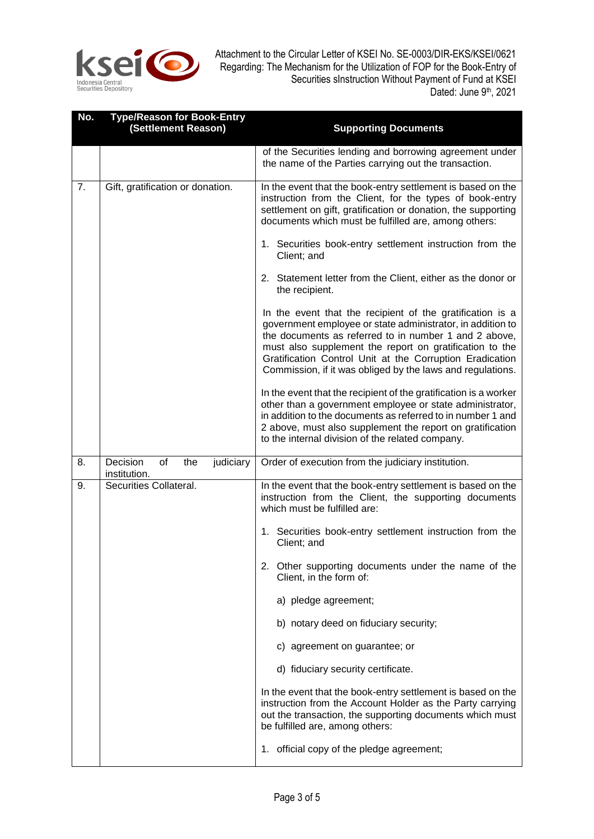

| No. | <b>Type/Reason for Book-Entry</b><br>(Settlement Reason) | <b>Supporting Documents</b>                                                                                                                                                                                                                                                                                                                                                                                                                                                                                                             |
|-----|----------------------------------------------------------|-----------------------------------------------------------------------------------------------------------------------------------------------------------------------------------------------------------------------------------------------------------------------------------------------------------------------------------------------------------------------------------------------------------------------------------------------------------------------------------------------------------------------------------------|
|     |                                                          | of the Securities lending and borrowing agreement under<br>the name of the Parties carrying out the transaction.                                                                                                                                                                                                                                                                                                                                                                                                                        |
| 7.  | Gift, gratification or donation.                         | In the event that the book-entry settlement is based on the<br>instruction from the Client, for the types of book-entry<br>settlement on gift, gratification or donation, the supporting<br>documents which must be fulfilled are, among others:<br>1. Securities book-entry settlement instruction from the<br>Client; and<br>2. Statement letter from the Client, either as the donor or<br>the recipient.<br>In the event that the recipient of the gratification is a<br>government employee or state administrator, in addition to |
|     |                                                          | the documents as referred to in number 1 and 2 above,<br>must also supplement the report on gratification to the<br>Gratification Control Unit at the Corruption Eradication<br>Commission, if it was obliged by the laws and regulations.                                                                                                                                                                                                                                                                                              |
|     |                                                          | In the event that the recipient of the gratification is a worker<br>other than a government employee or state administrator,<br>in addition to the documents as referred to in number 1 and<br>2 above, must also supplement the report on gratification<br>to the internal division of the related company.                                                                                                                                                                                                                            |
| 8.  | Decision<br>of<br>the<br>judiciary<br>institution.       | Order of execution from the judiciary institution.                                                                                                                                                                                                                                                                                                                                                                                                                                                                                      |
| 9.  | Securities Collateral.                                   | In the event that the book-entry settlement is based on the<br>instruction from the Client, the supporting documents<br>which must be fulfilled are:<br>1. Securities book-entry settlement instruction from the<br>Client; and                                                                                                                                                                                                                                                                                                         |
|     |                                                          | 2. Other supporting documents under the name of the<br>Client, in the form of:                                                                                                                                                                                                                                                                                                                                                                                                                                                          |
|     |                                                          | a) pledge agreement;                                                                                                                                                                                                                                                                                                                                                                                                                                                                                                                    |
|     |                                                          | b) notary deed on fiduciary security;                                                                                                                                                                                                                                                                                                                                                                                                                                                                                                   |
|     |                                                          | c) agreement on guarantee; or                                                                                                                                                                                                                                                                                                                                                                                                                                                                                                           |
|     |                                                          | d) fiduciary security certificate.                                                                                                                                                                                                                                                                                                                                                                                                                                                                                                      |
|     |                                                          | In the event that the book-entry settlement is based on the<br>instruction from the Account Holder as the Party carrying<br>out the transaction, the supporting documents which must<br>be fulfilled are, among others:                                                                                                                                                                                                                                                                                                                 |
|     |                                                          | 1. official copy of the pledge agreement;                                                                                                                                                                                                                                                                                                                                                                                                                                                                                               |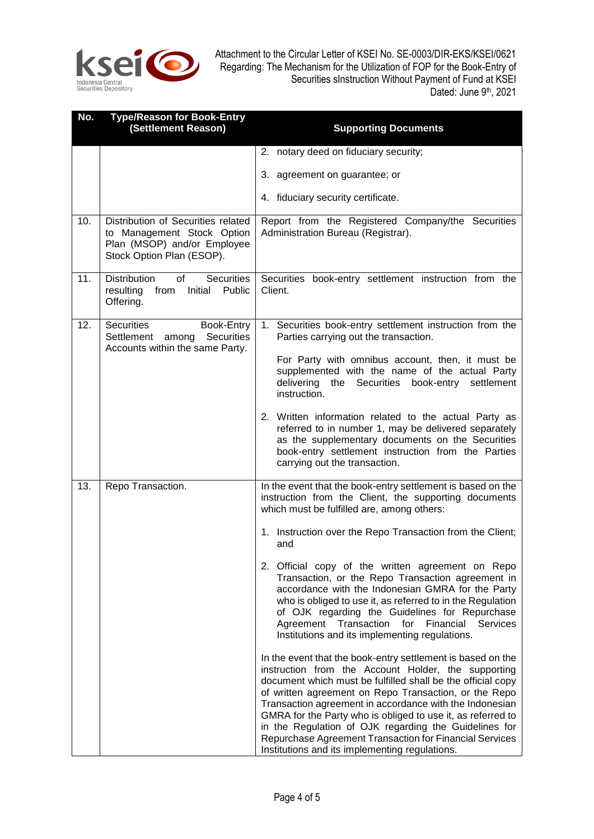

| No. | <b>Type/Reason for Book-Entry</b><br>(Settlement Reason)                                                                     | <b>Supporting Documents</b>                                                                                                                                                                                                                                                                                                                                                                                                                                                                                                                |
|-----|------------------------------------------------------------------------------------------------------------------------------|--------------------------------------------------------------------------------------------------------------------------------------------------------------------------------------------------------------------------------------------------------------------------------------------------------------------------------------------------------------------------------------------------------------------------------------------------------------------------------------------------------------------------------------------|
|     |                                                                                                                              | 2. notary deed on fiduciary security;                                                                                                                                                                                                                                                                                                                                                                                                                                                                                                      |
|     |                                                                                                                              | 3. agreement on guarantee; or                                                                                                                                                                                                                                                                                                                                                                                                                                                                                                              |
|     |                                                                                                                              | 4. fiduciary security certificate.                                                                                                                                                                                                                                                                                                                                                                                                                                                                                                         |
| 10. | Distribution of Securities related<br>to Management Stock Option<br>Plan (MSOP) and/or Employee<br>Stock Option Plan (ESOP). | Report from the Registered Company/the Securities<br>Administration Bureau (Registrar).                                                                                                                                                                                                                                                                                                                                                                                                                                                    |
| 11. | <b>Securities</b><br><b>Distribution</b><br>of<br>Initial Public<br>resulting<br>from<br>Offering.                           | Securities book-entry settlement instruction from the<br>Client.                                                                                                                                                                                                                                                                                                                                                                                                                                                                           |
| 12. | Securities<br>Book-Entry<br>Settlement among<br><b>Securities</b><br>Accounts within the same Party.                         | 1. Securities book-entry settlement instruction from the<br>Parties carrying out the transaction.                                                                                                                                                                                                                                                                                                                                                                                                                                          |
|     |                                                                                                                              | For Party with omnibus account, then, it must be<br>supplemented with the name of the actual Party<br>delivering the<br>Securities book-entry settlement<br>instruction.                                                                                                                                                                                                                                                                                                                                                                   |
|     |                                                                                                                              | 2. Written information related to the actual Party as<br>referred to in number 1, may be delivered separately<br>as the supplementary documents on the Securities<br>book-entry settlement instruction from the Parties<br>carrying out the transaction.                                                                                                                                                                                                                                                                                   |
| 13. | Repo Transaction.                                                                                                            | In the event that the book-entry settlement is based on the<br>instruction from the Client, the supporting documents<br>which must be fulfilled are, among others:                                                                                                                                                                                                                                                                                                                                                                         |
|     |                                                                                                                              | 1. Instruction over the Repo Transaction from the Client;<br>and                                                                                                                                                                                                                                                                                                                                                                                                                                                                           |
|     |                                                                                                                              | 2. Official copy of the written agreement on Repo<br>Transaction, or the Repo Transaction agreement in<br>accordance with the Indonesian GMRA for the Party<br>who is obliged to use it, as referred to in the Regulation<br>of OJK regarding the Guidelines for Repurchase<br>Agreement Transaction<br>Financial<br>for<br><b>Services</b><br>Institutions and its implementing regulations.                                                                                                                                              |
|     |                                                                                                                              | In the event that the book-entry settlement is based on the<br>instruction from the Account Holder, the supporting<br>document which must be fulfilled shall be the official copy<br>of written agreement on Repo Transaction, or the Repo<br>Transaction agreement in accordance with the Indonesian<br>GMRA for the Party who is obliged to use it, as referred to<br>in the Regulation of OJK regarding the Guidelines for<br>Repurchase Agreement Transaction for Financial Services<br>Institutions and its implementing regulations. |